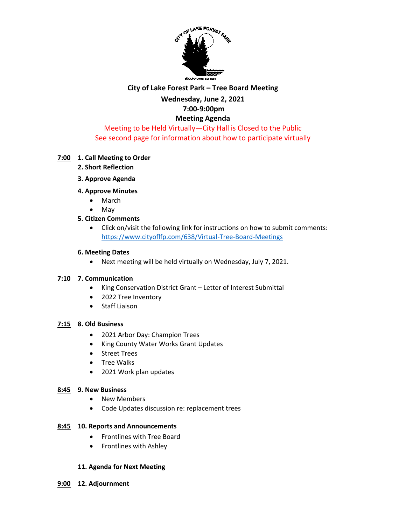

#### **City of Lake Forest Park – Tree Board Meeting**

### **Wednesday, June 2, 2021 7:00-9:00pm**

# **Meeting Agenda**

## Meeting to be Held Virtually—City Hall is Closed to the Public See second page for information about how to participate virtually

#### **7:00 1. Call Meeting to Order**

- **2. Short Reflection**
- **3. Approve Agenda**
- **4. Approve Minutes** 
	- March
	- May
- **5. Citizen Comments**
	- Click on/visit the following link for instructions on how to submit comments: <https://www.cityoflfp.com/638/Virtual-Tree-Board-Meetings>

#### **6. Meeting Dates**

• Next meeting will be held virtually on Wednesday, July 7, 2021.

#### **7:10 7. Communication**

- King Conservation District Grant Letter of Interest Submittal
- 2022 Tree Inventory
- Staff Liaison

#### **7:15 8. Old Business**

- 2021 Arbor Day: Champion Trees
- King County Water Works Grant Updates
- Street Trees
- Tree Walks
- 2021 Work plan updates

#### **8:45 9. New Business**

- New Members
- Code Updates discussion re: replacement trees

#### **8:45 10. Reports and Announcements**

- Frontlines with Tree Board
- Frontlines with Ashley

#### **11. Agenda for Next Meeting**

**9:00 12. Adjournment**